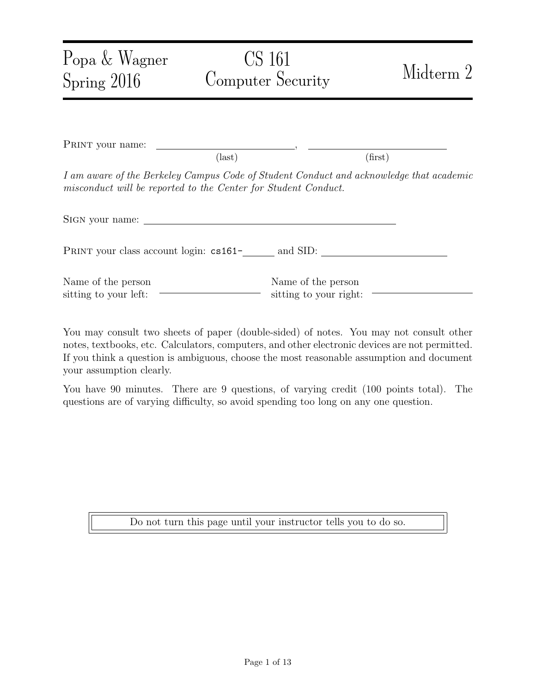| Popa & Wagner<br>Spring $2016$                                                                                                                            | CS 161<br>Computer Security                     | Midterm 2 |
|-----------------------------------------------------------------------------------------------------------------------------------------------------------|-------------------------------------------------|-----------|
| PRINT your name:                                                                                                                                          | $\text{(last)}$                                 | (first)   |
| I am aware of the Berkeley Campus Code of Student Conduct and acknowledge that academic<br>misconduct will be reported to the Center for Student Conduct. |                                                 |           |
| SIGN your name:                                                                                                                                           |                                                 |           |
|                                                                                                                                                           | PRINT your class account login: cs161- and SID: |           |
| Name of the person<br>sitting to your left:                                                                                                               | Name of the person<br>sitting to your right:    |           |

You may consult two sheets of paper (double-sided) of notes. You may not consult other notes, textbooks, etc. Calculators, computers, and other electronic devices are not permitted. If you think a question is ambiguous, choose the most reasonable assumption and document your assumption clearly.

You have 90 minutes. There are 9 questions, of varying credit (100 points total). The questions are of varying difficulty, so avoid spending too long on any one question.

Do not turn this page until your instructor tells you to do so.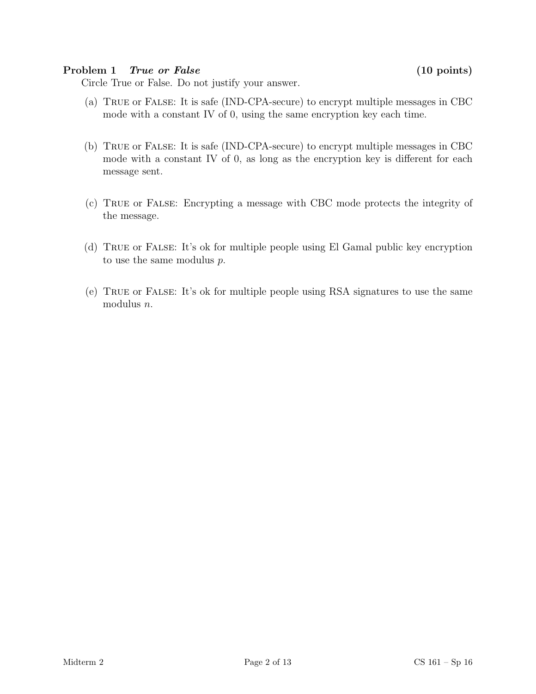### Problem 1 True or False (10 points)

Circle True or False. Do not justify your answer.

- (a) True or False: It is safe (IND-CPA-secure) to encrypt multiple messages in CBC mode with a constant IV of 0, using the same encryption key each time.
- (b) True or False: It is safe (IND-CPA-secure) to encrypt multiple messages in CBC mode with a constant IV of 0, as long as the encryption key is different for each message sent.
- (c) True or False: Encrypting a message with CBC mode protects the integrity of the message.
- (d) True or False: It's ok for multiple people using El Gamal public key encryption to use the same modulus p.
- (e) True or False: It's ok for multiple people using RSA signatures to use the same modulus n.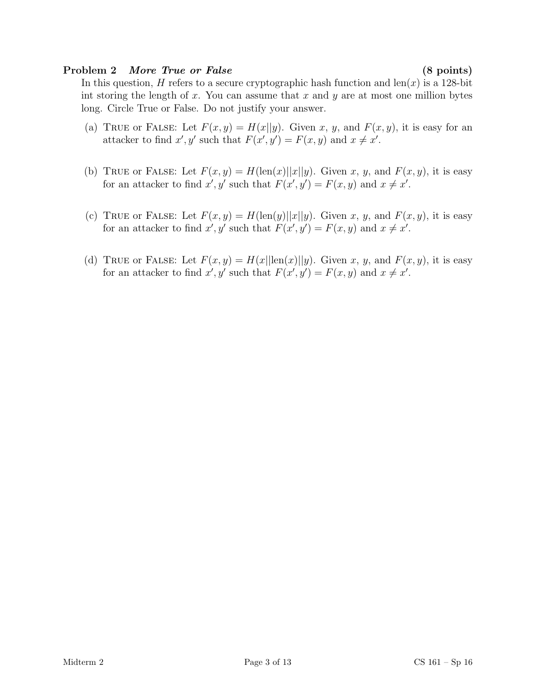### Problem 2 More True or False (8 points)

In this question, H refers to a secure cryptographic hash function and  $len(x)$  is a 128-bit int storing the length of  $x$ . You can assume that  $x$  and  $y$  are at most one million bytes long. Circle True or False. Do not justify your answer.

- (a) TRUE or FALSE: Let  $F(x, y) = H(x||y)$ . Given x, y, and  $F(x, y)$ , it is easy for an attacker to find  $x', y'$  such that  $F(x', y') = F(x, y)$  and  $x \neq x'$ .
- (b) TRUE or FALSE: Let  $F(x, y) = H(\text{len}(x)||x||y)$ . Given x, y, and  $F(x, y)$ , it is easy for an attacker to find  $x', y'$  such that  $F(x', y') = F(x, y)$  and  $x \neq x'$ .
- (c) TRUE or FALSE: Let  $F(x, y) = H(\text{len}(y)||x||y)$ . Given x, y, and  $F(x, y)$ , it is easy for an attacker to find  $x', y'$  such that  $F(x', y') = F(x, y)$  and  $x \neq x'$ .
- (d) TRUE or FALSE: Let  $F(x, y) = H(x||\text{len}(x)||y)$ . Given x, y, and  $F(x, y)$ , it is easy for an attacker to find  $x', y'$  such that  $F(x', y') = F(x, y)$  and  $x \neq x'$ .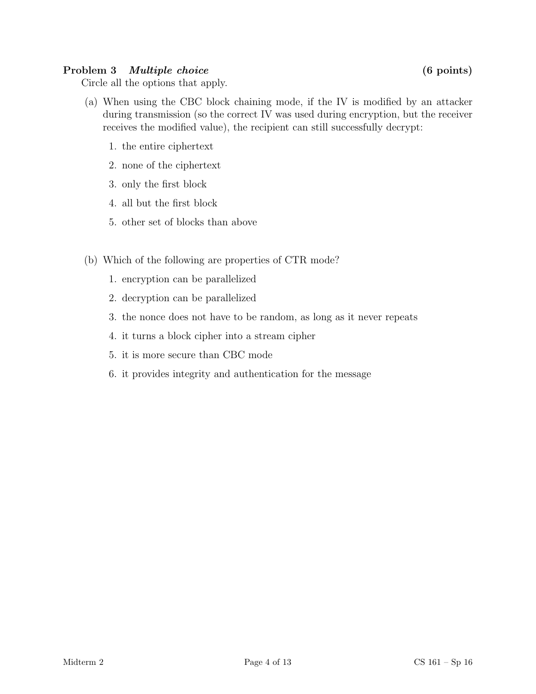# Problem 3 *Multiple choice* (6 points)

Circle all the options that apply.

- (a) When using the CBC block chaining mode, if the IV is modified by an attacker during transmission (so the correct IV was used during encryption, but the receiver receives the modified value), the recipient can still successfully decrypt:
	- 1. the entire ciphertext
	- 2. none of the ciphertext
	- 3. only the first block
	- 4. all but the first block
	- 5. other set of blocks than above
- (b) Which of the following are properties of CTR mode?
	- 1. encryption can be parallelized
	- 2. decryption can be parallelized
	- 3. the nonce does not have to be random, as long as it never repeats
	- 4. it turns a block cipher into a stream cipher
	- 5. it is more secure than CBC mode
	- 6. it provides integrity and authentication for the message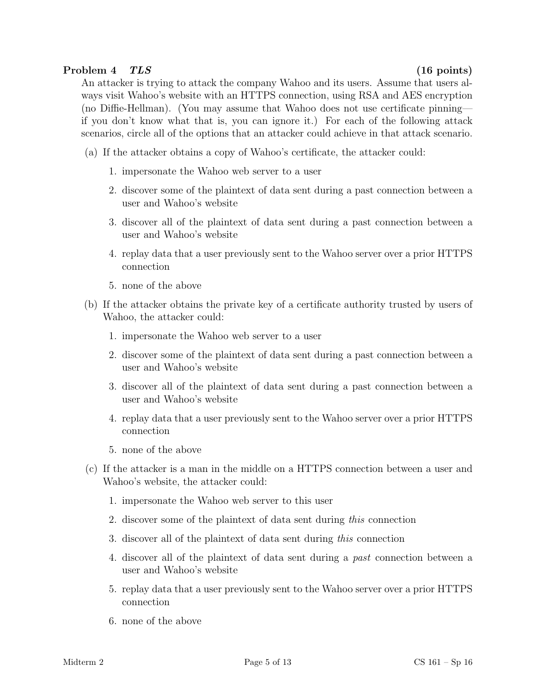# Problem 4 TLS (16 points)

An attacker is trying to attack the company Wahoo and its users. Assume that users always visit Wahoo's website with an HTTPS connection, using RSA and AES encryption (no Diffie-Hellman). (You may assume that Wahoo does not use certificate pinning if you don't know what that is, you can ignore it.) For each of the following attack scenarios, circle all of the options that an attacker could achieve in that attack scenario.

(a) If the attacker obtains a copy of Wahoo's certificate, the attacker could:

- 1. impersonate the Wahoo web server to a user
- 2. discover some of the plaintext of data sent during a past connection between a user and Wahoo's website
- 3. discover all of the plaintext of data sent during a past connection between a user and Wahoo's website
- 4. replay data that a user previously sent to the Wahoo server over a prior HTTPS connection
- 5. none of the above
- (b) If the attacker obtains the private key of a certificate authority trusted by users of Wahoo, the attacker could:
	- 1. impersonate the Wahoo web server to a user
	- 2. discover some of the plaintext of data sent during a past connection between a user and Wahoo's website
	- 3. discover all of the plaintext of data sent during a past connection between a user and Wahoo's website
	- 4. replay data that a user previously sent to the Wahoo server over a prior HTTPS connection
	- 5. none of the above
- (c) If the attacker is a man in the middle on a HTTPS connection between a user and Wahoo's website, the attacker could:
	- 1. impersonate the Wahoo web server to this user
	- 2. discover some of the plaintext of data sent during this connection
	- 3. discover all of the plaintext of data sent during this connection
	- 4. discover all of the plaintext of data sent during a past connection between a user and Wahoo's website
	- 5. replay data that a user previously sent to the Wahoo server over a prior HTTPS connection
	- 6. none of the above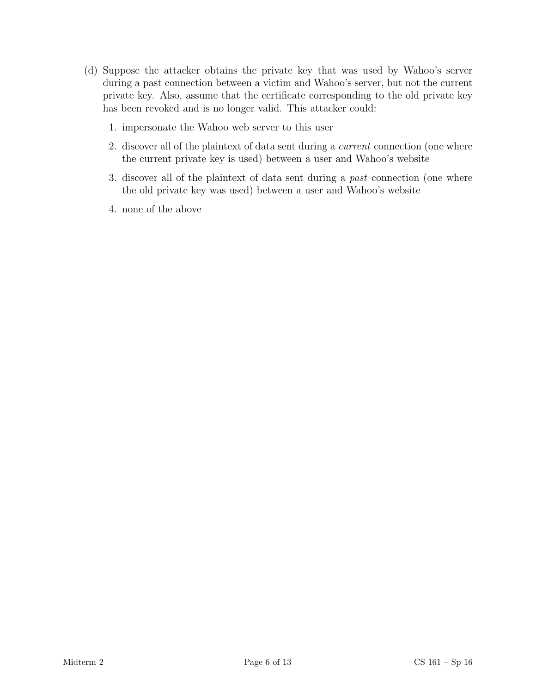- (d) Suppose the attacker obtains the private key that was used by Wahoo's server during a past connection between a victim and Wahoo's server, but not the current private key. Also, assume that the certificate corresponding to the old private key has been revoked and is no longer valid. This attacker could:
	- 1. impersonate the Wahoo web server to this user
	- 2. discover all of the plaintext of data sent during a current connection (one where the current private key is used) between a user and Wahoo's website
	- 3. discover all of the plaintext of data sent during a past connection (one where the old private key was used) between a user and Wahoo's website
	- 4. none of the above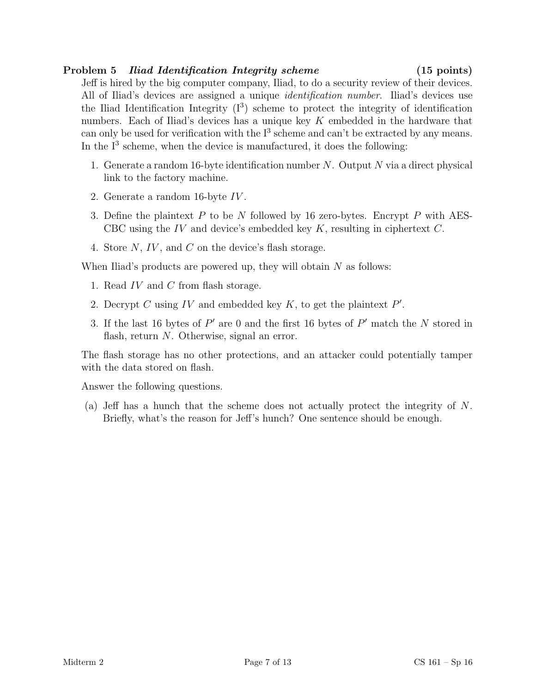# Problem 5 *Iliad Identification Integrity scheme* (15 points)

Jeff is hired by the big computer company, Iliad, to do a security review of their devices. All of Iliad's devices are assigned a unique identification number. Iliad's devices use the Iliad Identification Integrity  $(I^3)$  scheme to protect the integrity of identification numbers. Each of Iliad's devices has a unique key K embedded in the hardware that can only be used for verification with the  $I<sup>3</sup>$  scheme and can't be extracted by any means. In the  $I<sup>3</sup>$  scheme, when the device is manufactured, it does the following:

- 1. Generate a random 16-byte identification number  $N$ . Output  $N$  via a direct physical link to the factory machine.
- 2. Generate a random 16-byte IV .
- 3. Define the plaintext  $P$  to be  $N$  followed by 16 zero-bytes. Encrypt  $P$  with AES-CBC using the IV and device's embedded key  $K$ , resulting in ciphertext  $C$ .
- 4. Store N, IV , and C on the device's flash storage.

When Iliad's products are powered up, they will obtain  $N$  as follows:

- 1. Read  $IV$  and  $C$  from flash storage.
- 2. Decrypt C using IV and embedded key  $K$ , to get the plaintext  $P'$ .
- 3. If the last 16 bytes of  $P'$  are 0 and the first 16 bytes of  $P'$  match the N stored in flash, return N. Otherwise, signal an error.

The flash storage has no other protections, and an attacker could potentially tamper with the data stored on flash.

Answer the following questions.

(a) Jeff has a hunch that the scheme does not actually protect the integrity of N. Briefly, what's the reason for Jeff's hunch? One sentence should be enough.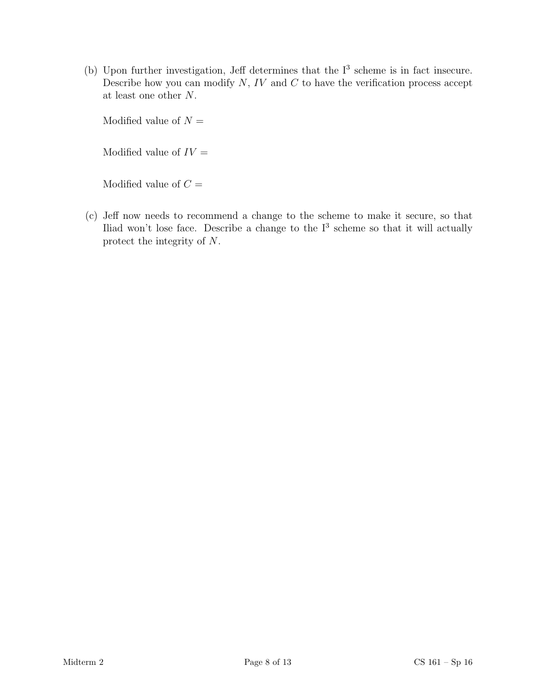(b) Upon further investigation, Jeff determines that the  $I<sup>3</sup>$  scheme is in fact insecure. Describe how you can modify  $N$ ,  $IV$  and  $C$  to have the verification process accept at least one other N.

Modified value of  $N =$ 

Modified value of  $IV =$ 

Modified value of  $C =$ 

(c) Jeff now needs to recommend a change to the scheme to make it secure, so that Iliad won't lose face. Describe a change to the  $I<sup>3</sup>$  scheme so that it will actually protect the integrity of N.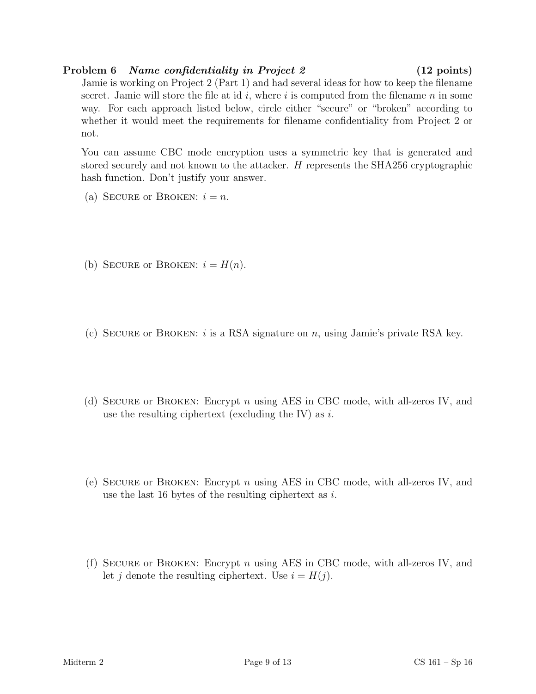# Problem 6 Name confidentiality in Project 2 (12 points)

Jamie is working on Project 2 (Part 1) and had several ideas for how to keep the filename secret. Jamie will store the file at id  $i$ , where  $i$  is computed from the filename  $n$  in some way. For each approach listed below, circle either "secure" or "broken" according to whether it would meet the requirements for filename confidentiality from Project 2 or not.

You can assume CBC mode encryption uses a symmetric key that is generated and stored securely and not known to the attacker. H represents the SHA256 cryptographic hash function. Don't justify your answer.

- (a) SECURE or BROKEN:  $i = n$ .
- (b) SECURE or BROKEN:  $i = H(n)$ .
- (c) SECURE or BROKEN: i is a RSA signature on  $n$ , using Jamie's private RSA key.
- (d) Secure or Broken: Encrypt n using AES in CBC mode, with all-zeros IV, and use the resulting ciphertext (excluding the IV) as  $i$ .
- (e) Secure or Broken: Encrypt n using AES in CBC mode, with all-zeros IV, and use the last 16 bytes of the resulting ciphertext as  $i$ .
- (f) Secure or Broken: Encrypt n using AES in CBC mode, with all-zeros IV, and let j denote the resulting ciphertext. Use  $i = H(j)$ .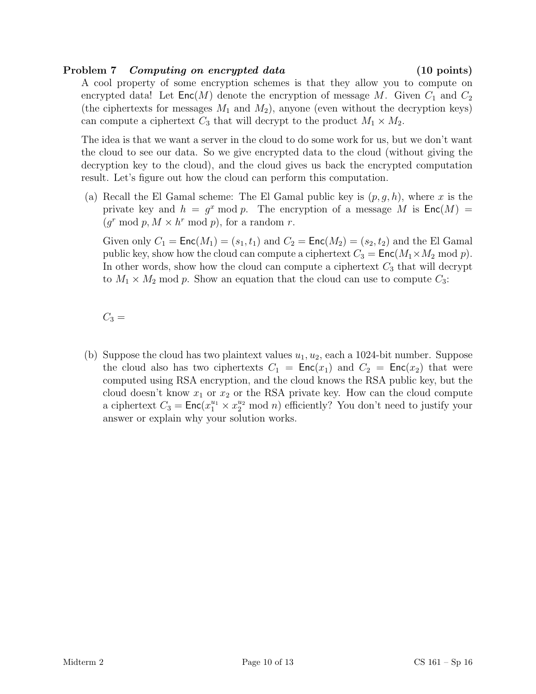# Problem 7 Computing on encrypted data (10 points)

A cool property of some encryption schemes is that they allow you to compute on encrypted data! Let  $\mathsf{Enc}(M)$  denote the encryption of message M. Given  $C_1$  and  $C_2$ (the ciphertexts for messages  $M_1$  and  $M_2$ ), anyone (even without the decryption keys) can compute a ciphertext  $C_3$  that will decrypt to the product  $M_1 \times M_2$ .

The idea is that we want a server in the cloud to do some work for us, but we don't want the cloud to see our data. So we give encrypted data to the cloud (without giving the decryption key to the cloud), and the cloud gives us back the encrypted computation result. Let's figure out how the cloud can perform this computation.

(a) Recall the El Gamal scheme: The El Gamal public key is  $(p, g, h)$ , where x is the private key and  $h = g^x \mod p$ . The encryption of a message M is  $Enc(M)$  $(g<sup>r</sup> \mod p, M \times h<sup>r</sup> \mod p)$ , for a random r.

Given only  $C_1 = \text{Enc}(M_1) = (s_1, t_1)$  and  $C_2 = \text{Enc}(M_2) = (s_2, t_2)$  and the El Gamal public key, show how the cloud can compute a ciphertext  $C_3 = \text{Enc}(M_1 \times M_2 \text{ mod } p)$ . In other words, show how the cloud can compute a ciphertext  $C_3$  that will decrypt to  $M_1 \times M_2$  mod p. Show an equation that the cloud can use to compute  $C_3$ :

 $C_3 =$ 

(b) Suppose the cloud has two plaintext values  $u_1, u_2$ , each a 1024-bit number. Suppose the cloud also has two ciphertexts  $C_1 = \text{Enc}(x_1)$  and  $C_2 = \text{Enc}(x_2)$  that were computed using RSA encryption, and the cloud knows the RSA public key, but the cloud doesn't know  $x_1$  or  $x_2$  or the RSA private key. How can the cloud compute a ciphertext  $C_3 = \mathsf{Enc}(x_1^{u_1} \times x_2^{u_2} \mod n)$  efficiently? You don't need to justify your answer or explain why your solution works.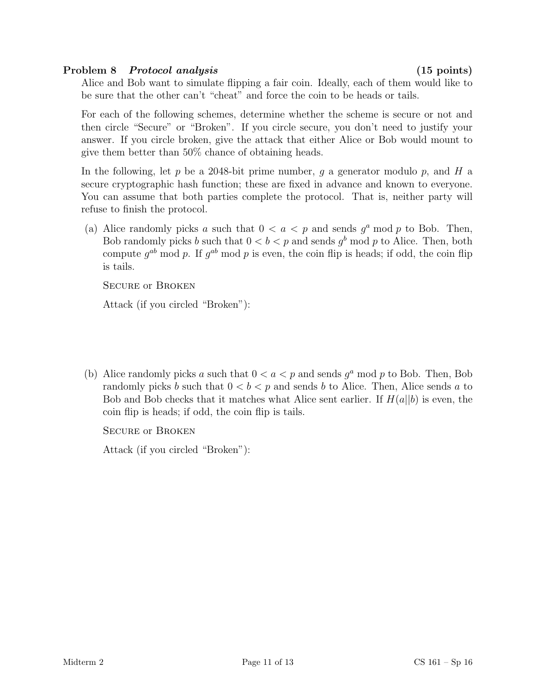# Problem 8 Protocol analysis (15 points)

Alice and Bob want to simulate flipping a fair coin. Ideally, each of them would like to be sure that the other can't "cheat" and force the coin to be heads or tails.

For each of the following schemes, determine whether the scheme is secure or not and then circle "Secure" or "Broken". If you circle secure, you don't need to justify your answer. If you circle broken, give the attack that either Alice or Bob would mount to give them better than 50% chance of obtaining heads.

In the following, let p be a 2048-bit prime number, q a generator modulo p, and H a secure cryptographic hash function; these are fixed in advance and known to everyone. You can assume that both parties complete the protocol. That is, neither party will refuse to finish the protocol.

(a) Alice randomly picks a such that  $0 < a < p$  and sends  $g^a$  mod p to Bob. Then, Bob randomly picks b such that  $0 < b < p$  and sends  $g<sup>b</sup>$  mod p to Alice. Then, both compute  $g^{ab}$  mod p. If  $g^{ab}$  mod p is even, the coin flip is heads; if odd, the coin flip is tails.

Secure or Broken

Attack (if you circled "Broken"):

(b) Alice randomly picks a such that  $0 < a < p$  and sends  $g^a$  mod p to Bob. Then, Bob randomly picks b such that  $0 < b < p$  and sends b to Alice. Then, Alice sends a to Bob and Bob checks that it matches what Alice sent earlier. If  $H(a||b)$  is even, the coin flip is heads; if odd, the coin flip is tails.

Secure or Broken

Attack (if you circled "Broken"):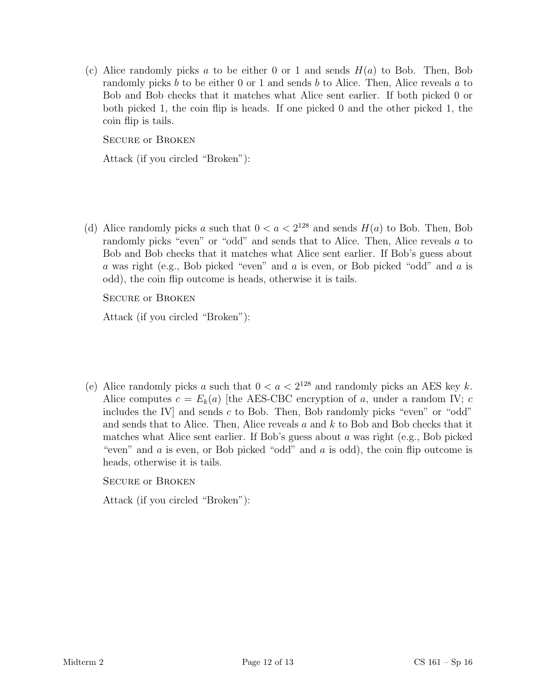(c) Alice randomly picks a to be either 0 or 1 and sends  $H(a)$  to Bob. Then, Bob randomly picks b to be either 0 or 1 and sends b to Alice. Then, Alice reveals a to Bob and Bob checks that it matches what Alice sent earlier. If both picked 0 or both picked 1, the coin flip is heads. If one picked 0 and the other picked 1, the coin flip is tails.

Secure or Broken

Attack (if you circled "Broken"):

(d) Alice randomly picks a such that  $0 < a < 2^{128}$  and sends  $H(a)$  to Bob. Then, Bob randomly picks "even" or "odd" and sends that to Alice. Then, Alice reveals a to Bob and Bob checks that it matches what Alice sent earlier. If Bob's guess about a was right (e.g., Bob picked "even" and a is even, or Bob picked "odd" and a is odd), the coin flip outcome is heads, otherwise it is tails.

Secure or Broken

Attack (if you circled "Broken"):

(e) Alice randomly picks a such that  $0 < a < 2^{128}$  and randomly picks an AES key k. Alice computes  $c = E_k(a)$  [the AES-CBC encryption of a, under a random IV; c includes the IV and sends  $c$  to Bob. Then, Bob randomly picks "even" or "odd" and sends that to Alice. Then, Alice reveals  $a$  and  $k$  to Bob and Bob checks that it matches what Alice sent earlier. If Bob's guess about a was right (e.g., Bob picked "even" and  $a$  is even, or Bob picked "odd" and  $a$  is odd), the coin flip outcome is heads, otherwise it is tails.

Secure or Broken

Attack (if you circled "Broken"):